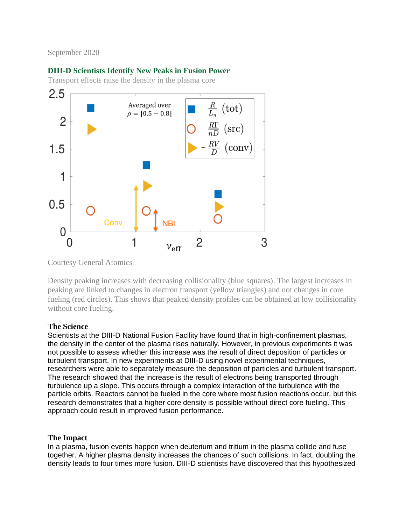## September 2020

# **DIII-D Scientists Identify New Peaks in Fusion Power**

Transport effects raise the density in the plasma core



Courtesy General Atomics

Density peaking increases with decreasing collisionality (blue squares). The largest increases in peaking are linked to changes in electron transport (yellow triangles) and not changes in core fueling (red circles). This shows that peaked density profiles can be obtained at low collisionality without core fueling.

### **The Science**

Scientists at the DIII-D National Fusion Facility have found that in high-confinement plasmas, the density in the center of the plasma rises naturally. However, in previous experiments it was not possible to assess whether this increase was the result of direct deposition of particles or turbulent transport. In new experiments at DIII-D using novel experimental techniques, researchers were able to separately measure the deposition of particles and turbulent transport. The research showed that the increase is the result of electrons being transported through turbulence up a slope. This occurs through a complex interaction of the turbulence with the particle orbits. Reactors cannot be fueled in the core where most fusion reactions occur, but this research demonstrates that a higher core density is possible without direct core fueling. This approach could result in improved fusion performance.

### **The Impact**

In a plasma, fusion events happen when deuterium and tritium in the plasma collide and fuse together. A higher plasma density increases the chances of such collisions. In fact, doubling the density leads to four times more fusion. DIII-D scientists have discovered that this hypothesized